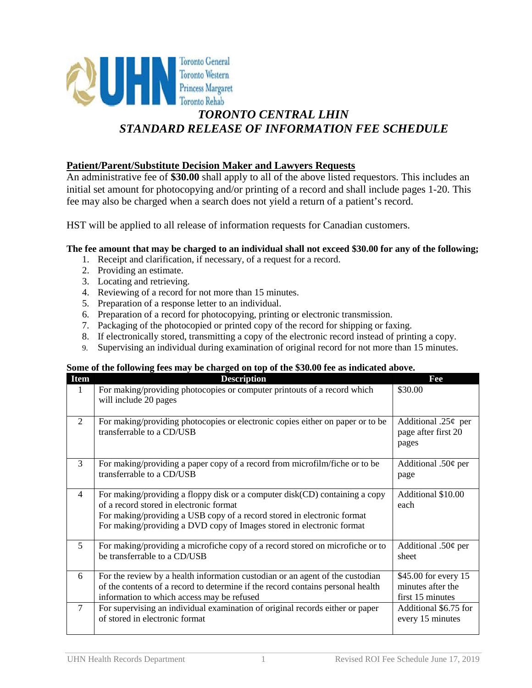

# *STANDARD RELEASE OF INFORMATION FEE SCHEDULE*

### **Patient/Parent/Substitute Decision Maker and Lawyers Requests**

An administrative fee of **\$30.00** shall apply to all of the above listed requestors. This includes an initial set amount for photocopying and/or printing of a record and shall include pages 1-20. This fee may also be charged when a search does not yield a return of a patient's record.

HST will be applied to all release of information requests for Canadian customers.

#### **The fee amount that may be charged to an individual shall not exceed \$30.00 for any of the following;**

- 1. Receipt and clarification, if necessary, of a request for a record.
- 2. Providing an estimate.
- 3. Locating and retrieving.
- 4. Reviewing of a record for not more than 15 minutes.
- 5. Preparation of a response letter to an individual.
- 6. Preparation of a record for photocopying, printing or electronic transmission.
- 7. Packaging of the photocopied or printed copy of the record for shipping or faxing.
- 8. If electronically stored, transmitting a copy of the electronic record instead of printing a copy.
- 9. Supervising an individual during examination of original record for not more than 15 minutes.

#### **Some of the following fees may be charged on top of the \$30.00 fee as indicated above.**

| <b>Item</b>    | <b>Description</b>                                                                                                                                                                                                                                                         | Fee                                                           |
|----------------|----------------------------------------------------------------------------------------------------------------------------------------------------------------------------------------------------------------------------------------------------------------------------|---------------------------------------------------------------|
| 1              | For making/providing photocopies or computer printouts of a record which<br>will include 20 pages                                                                                                                                                                          | \$30.00                                                       |
| 2              | For making/providing photocopies or electronic copies either on paper or to be<br>transferrable to a CD/USB                                                                                                                                                                | Additional .25 $\phi$ per<br>page after first 20<br>pages     |
| 3              | For making/providing a paper copy of a record from microfilm/fiche or to be<br>transferrable to a CD/USB                                                                                                                                                                   | Additional .50¢ per<br>page                                   |
| $\overline{4}$ | For making/providing a floppy disk or a computer disk(CD) containing a copy<br>of a record stored in electronic format<br>For making/providing a USB copy of a record stored in electronic format<br>For making/providing a DVD copy of Images stored in electronic format | Additional \$10.00<br>each                                    |
| 5              | For making/providing a microfiche copy of a record stored on microfiche or to<br>be transferrable to a CD/USB                                                                                                                                                              | Additional .50 $\phi$ per<br>sheet                            |
| 6              | For the review by a health information custodian or an agent of the custodian<br>of the contents of a record to determine if the record contains personal health<br>information to which access may be refused                                                             | \$45.00 for every 15<br>minutes after the<br>first 15 minutes |
| $\overline{7}$ | For supervising an individual examination of original records either or paper<br>of stored in electronic format                                                                                                                                                            | Additional \$6.75 for<br>every 15 minutes                     |